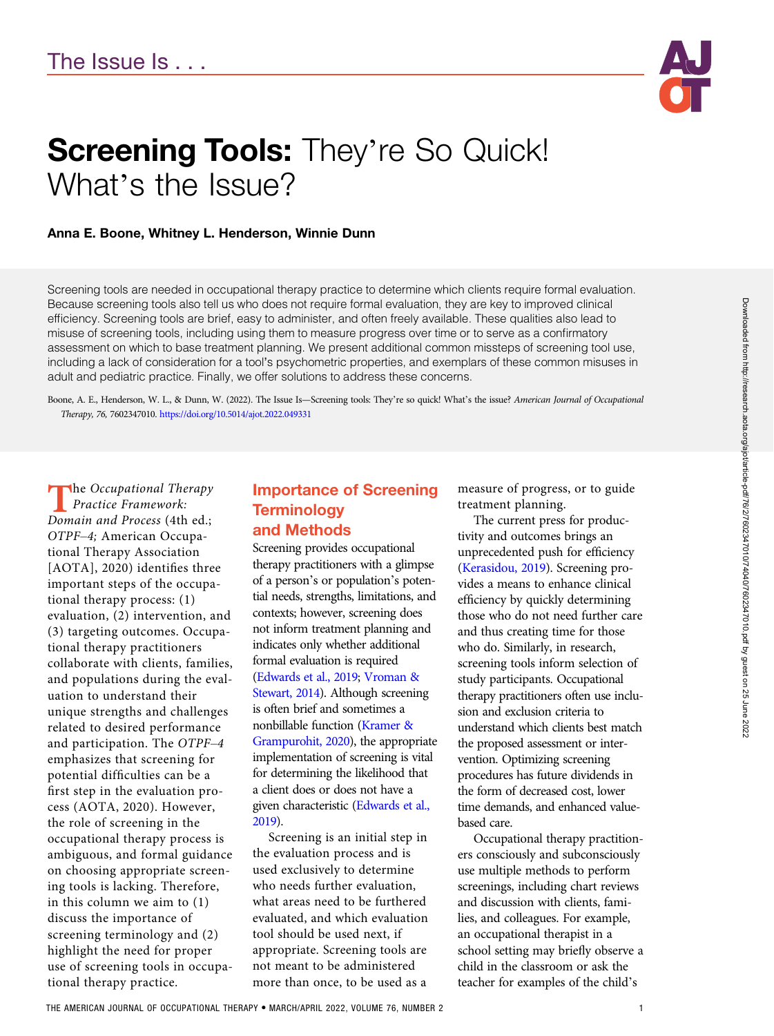

# **Screening Tools: They're So Quick!** What's the Issue?

#### Anna E. Boone, Whitney L. Henderson, Winnie Dunn

Screening tools are needed in occupational therapy practice to determine which clients require formal evaluation. Because screening tools also tell us who does not require formal evaluation, they are key to improved clinical efficiency. Screening tools are brief, easy to administer, and often freely available. These qualities also lead to misuse of screening tools, including using them to measure progress over time or to serve as a confirmatory assessment on which to base treatment planning. We present additional common missteps of screening tool use, including a lack of consideration for a tool's psychometric properties, and exemplars of these common misuses in adult and pediatric practice. Finally, we offer solutions to address these concerns.

Boone, A. E., Henderson, W. L., & Dunn, W. (2022). The Issue Is—Screening tools: They're so quick! What's the issue? American Journal of Occupational Therapy, 76, 7602347010. https://doi.org/10.5014/ajot.2022.049331

 $\blacksquare$  he Occupational Therapy Practice Framework: Domain and Process (4th ed.; OTPF–4; American Occupational Therapy Association [AOTA], 2020) identifies three important steps of the occupational therapy process: (1) evaluation, (2) intervention, and (3) targeting outcomes. Occupational therapy practitioners collaborate with clients, families, and populations during the evaluation to understand their unique strengths and challenges related to desired performance and participation. The OTPF–4 emphasizes that screening for potential difficulties can be a first step in the evaluation process (AOTA, 2020). However, the role of screening in the occupational therapy process is ambiguous, and formal guidance on choosing appropriate screening tools is lacking. Therefore, in this column we aim to (1) discuss the importance of screening terminology and (2) highlight the need for proper use of screening tools in occupational therapy practice.

## Importance of Screening **Terminology** and Methods

Screening provides occupational therapy practitioners with a glimpse of a person's or population's potential needs, strengths, limitations, and contexts; however, screening does not inform treatment planning and indicates only whether additional formal evaluation is required [\(Edwards et al., 2019](#page-3-0); [Vroman &](#page-4-0) [Stewart, 2014\)](#page-4-0). Although screening is often brief and sometimes a nonbillable function [\(Kramer &](#page-3-0) [Grampurohit, 2020](#page-3-0)), the appropriate implementation of screening is vital for determining the likelihood that a client does or does not have a given characteristic [\(Edwards et al.,](#page-3-0) [2019\)](#page-3-0).

Screening is an initial step in the evaluation process and is used exclusively to determine who needs further evaluation, what areas need to be furthered evaluated, and which evaluation tool should be used next, if appropriate. Screening tools are not meant to be administered more than once, to be used as a

measure of progress, or to guide treatment planning.

The current press for productivity and outcomes brings an unprecedented push for efficiency [\(Kerasidou, 2019](#page-3-0)). Screening provides a means to enhance clinical efficiency by quickly determining those who do not need further care and thus creating time for those who do. Similarly, in research, screening tools inform selection of study participants. Occupational therapy practitioners often use inclusion and exclusion criteria to understand which clients best match the proposed assessment or intervention. Optimizing screening procedures has future dividends in the form of decreased cost, lower time demands, and enhanced valuebased care.

Occupational therapy practitioners consciously and subconsciously use multiple methods to perform screenings, including chart reviews and discussion with clients, families, and colleagues. For example, an occupational therapist in a school setting may briefly observe a child in the classroom or ask the teacher for examples of the child's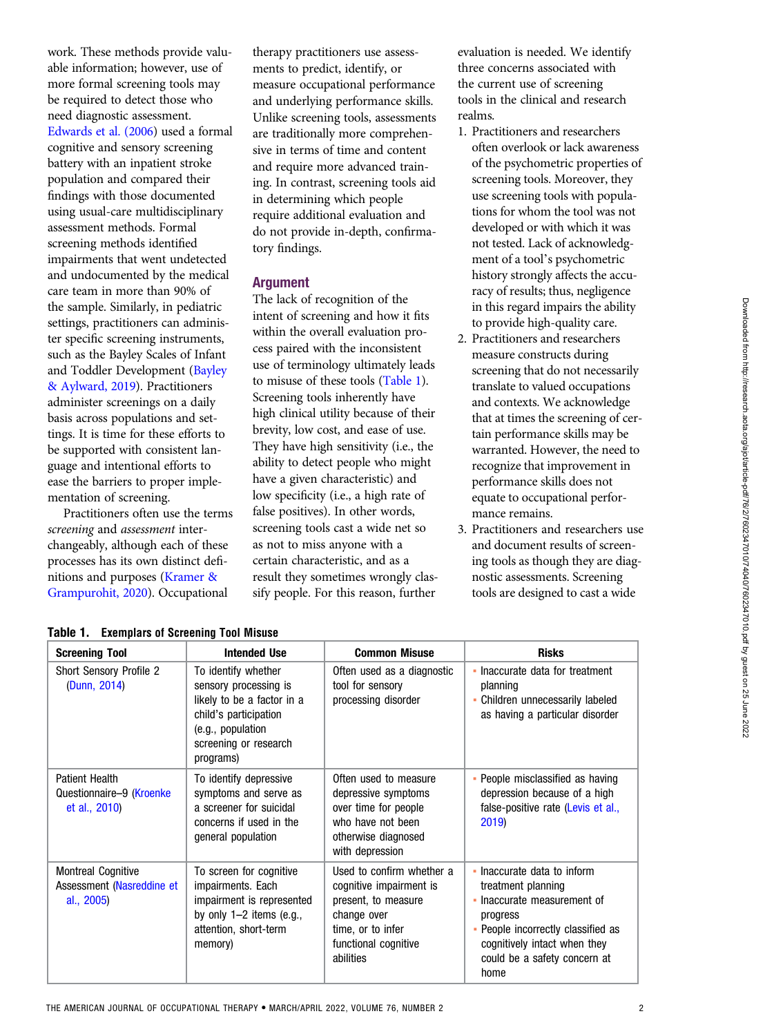work. These methods provide valuable information; however, use of more formal screening tools may be required to detect those who need diagnostic assessment. [Edwards et al. \(2006\)](#page-3-0) used a formal cognitive and sensory screening battery with an inpatient stroke population and compared their findings with those documented using usual-care multidisciplinary assessment methods. Formal screening methods identified impairments that went undetected and undocumented by the medical care team in more than 90% of the sample. Similarly, in pediatric settings, practitioners can administer specific screening instruments, such as the Bayley Scales of Infant and Toddler Development [\(Bayley](#page-3-0) [& Aylward, 2019\)](#page-3-0). Practitioners administer screenings on a daily basis across populations and settings. It is time for these efforts to be supported with consistent language and intentional efforts to ease the barriers to proper implementation of screening.

Practitioners often use the terms screening and assessment interchangeably, although each of these processes has its own distinct definitions and purposes [\(Kramer &](#page-3-0) [Grampurohit, 2020](#page-3-0)). Occupational

therapy practitioners use assessments to predict, identify, or measure occupational performance and underlying performance skills. Unlike screening tools, assessments are traditionally more comprehensive in terms of time and content and require more advanced training. In contrast, screening tools aid in determining which people require additional evaluation and do not provide in-depth, confirmatory findings.

## Argument

The lack of recognition of the intent of screening and how it fits within the overall evaluation process paired with the inconsistent use of terminology ultimately leads to misuse of these tools (Table 1). Screening tools inherently have high clinical utility because of their brevity, low cost, and ease of use. They have high sensitivity (i.e., the ability to detect people who might have a given characteristic) and low specificity (i.e., a high rate of false positives). In other words, screening tools cast a wide net so as not to miss anyone with a certain characteristic, and as a result they sometimes wrongly classify people. For this reason, further

evaluation is needed. We identify three concerns associated with the current use of screening tools in the clinical and research realms.

- 1. Practitioners and researchers often overlook or lack awareness of the psychometric properties of screening tools. Moreover, they use screening tools with populations for whom the tool was not developed or with which it was not tested. Lack of acknowledgment of a tool's psychometric history strongly affects the accuracy of results; thus, negligence in this regard impairs the ability to provide high-quality care.
- 2. Practitioners and researchers measure constructs during screening that do not necessarily translate to valued occupations and contexts. We acknowledge that at times the screening of certain performance skills may be warranted. However, the need to recognize that improvement in performance skills does not equate to occupational performance remains.
- 3. Practitioners and researchers use and document results of screening tools as though they are diagnostic assessments. Screening tools are designed to cast a wide

| <b>Screening Tool</b>                                                | <b>Intended Use</b>                                                                                                                                            | <b>Common Misuse</b>                                                                                                                                 | <b>Risks</b>                                                                                                                                                                                               |
|----------------------------------------------------------------------|----------------------------------------------------------------------------------------------------------------------------------------------------------------|------------------------------------------------------------------------------------------------------------------------------------------------------|------------------------------------------------------------------------------------------------------------------------------------------------------------------------------------------------------------|
| <b>Short Sensory Profile 2</b><br>(Dunn, 2014)                       | To identify whether<br>sensory processing is<br>likely to be a factor in a<br>child's participation<br>(e.g., population<br>screening or research<br>programs) | Often used as a diagnostic<br>tool for sensory<br>processing disorder                                                                                | • Inaccurate data for treatment<br>planning<br>• Children unnecessarily labeled<br>as having a particular disorder                                                                                         |
| <b>Patient Health</b><br>Questionnaire-9 (Kroenke<br>et al., 2010)   | To identify depressive<br>symptoms and serve as<br>a screener for suicidal<br>concerns if used in the<br>general population                                    | Often used to measure<br>depressive symptoms<br>over time for people<br>who have not been<br>otherwise diagnosed<br>with depression                  | • People misclassified as having<br>depression because of a high<br>false-positive rate (Levis et al.,<br>2019)                                                                                            |
| <b>Montreal Cognitive</b><br>Assessment (Nasreddine et<br>al., 2005) | To screen for cognitive<br>impairments. Each<br>impairment is represented<br>by only $1-2$ items (e.g.,<br>attention, short-term<br>memory)                    | Used to confirm whether a<br>cognitive impairment is<br>present, to measure<br>change over<br>time, or to infer<br>functional cognitive<br>abilities | • Inaccurate data to inform<br>treatment planning<br>• Inaccurate measurement of<br>progress<br>• People incorrectly classified as<br>cognitively intact when they<br>could be a safety concern at<br>home |

#### Table 1. Exemplars of Screening Tool Misuse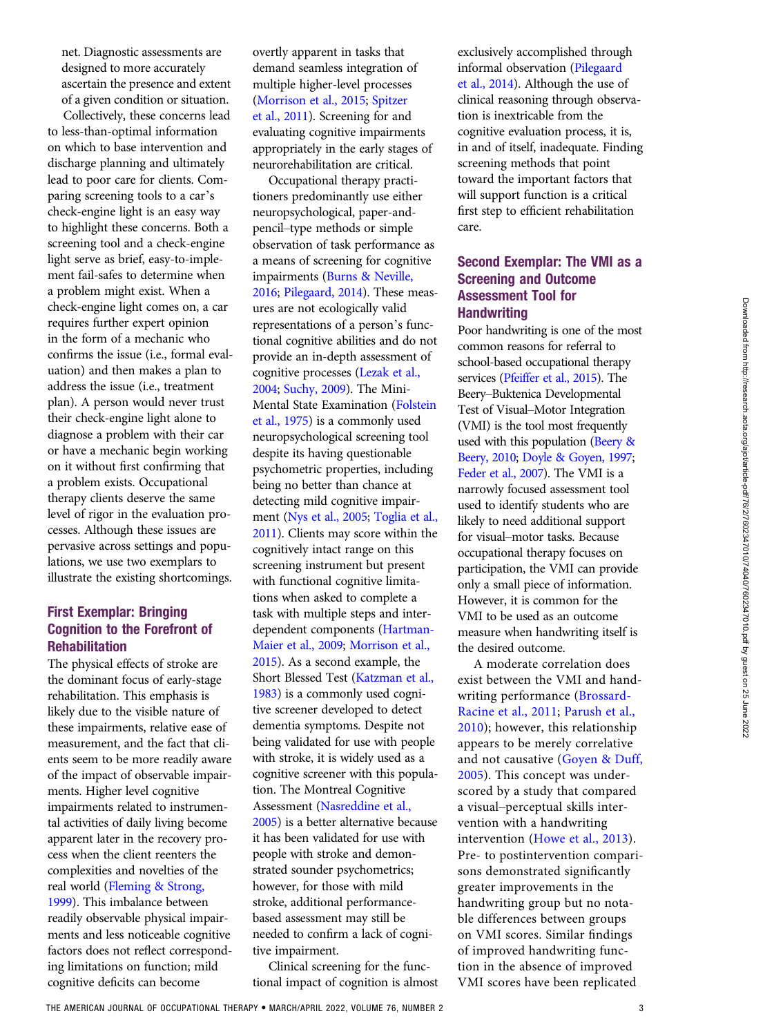net. Diagnostic assessments are designed to more accurately ascertain the presence and extent of a given condition or situation.

Collectively, these concerns lead to less-than-optimal information on which to base intervention and discharge planning and ultimately lead to poor care for clients. Comparing screening tools to a car's check-engine light is an easy way to highlight these concerns. Both a screening tool and a check-engine light serve as brief, easy-to-implement fail-safes to determine when a problem might exist. When a check-engine light comes on, a car requires further expert opinion in the form of a mechanic who confirms the issue (i.e., formal evaluation) and then makes a plan to address the issue (i.e., treatment plan). A person would never trust their check-engine light alone to diagnose a problem with their car or have a mechanic begin working on it without first confirming that a problem exists. Occupational therapy clients deserve the same level of rigor in the evaluation processes. Although these issues are pervasive across settings and populations, we use two exemplars to illustrate the existing shortcomings.

### First Exemplar: Bringing Cognition to the Forefront of Rehabilitation

The physical effects of stroke are the dominant focus of early-stage rehabilitation. This emphasis is likely due to the visible nature of these impairments, relative ease of measurement, and the fact that clients seem to be more readily aware of the impact of observable impairments. Higher level cognitive impairments related to instrumental activities of daily living become apparent later in the recovery process when the client reenters the complexities and novelties of the real world ([Fleming & Strong,](#page-3-0) [1999](#page-3-0)). This imbalance between readily observable physical impairments and less noticeable cognitive factors does not reflect corresponding limitations on function; mild cognitive deficits can become

overtly apparent in tasks that demand seamless integration of multiple higher-level processes [\(Morrison et al., 2015](#page-4-0); [Spitzer](#page-4-0) [et al., 2011](#page-4-0)). Screening for and evaluating cognitive impairments appropriately in the early stages of neurorehabilitation are critical.

Occupational therapy practitioners predominantly use either neuropsychological, paper-andpencil–type methods or simple observation of task performance as a means of screening for cognitive impairments ([Burns & Neville,](#page-3-0) [2016](#page-3-0); [Pilegaard, 2014\)](#page-4-0). These measures are not ecologically valid representations of a person's functional cognitive abilities and do not provide an in-depth assessment of cognitive processes ([Lezak et al.,](#page-4-0) [2004](#page-4-0); [Suchy, 2009](#page-4-0)). The Mini-Mental State Examination [\(Folstein](#page-3-0) [et al., 1975](#page-3-0)) is a commonly used neuropsychological screening tool despite its having questionable psychometric properties, including being no better than chance at detecting mild cognitive impairment [\(Nys et al., 2005;](#page-4-0) [Toglia et al.,](#page-4-0) [2011](#page-4-0)). Clients may score within the cognitively intact range on this screening instrument but present with functional cognitive limitations when asked to complete a task with multiple steps and interdependent components [\(Hartman-](#page-3-0)[Maier et al., 2009;](#page-3-0) [Morrison et al.,](#page-4-0) [2015](#page-4-0)). As a second example, the Short Blessed Test ([Katzman et al.,](#page-3-0) [1983](#page-3-0)) is a commonly used cognitive screener developed to detect dementia symptoms. Despite not being validated for use with people with stroke, it is widely used as a cognitive screener with this population. The Montreal Cognitive Assessment [\(Nasreddine et al.,](#page-4-0) [2005](#page-4-0)) is a better alternative because it has been validated for use with people with stroke and demonstrated sounder psychometrics; however, for those with mild stroke, additional performancebased assessment may still be needed to confirm a lack of cognitive impairment.

Clinical screening for the functional impact of cognition is almost exclusively accomplished through informal observation [\(Pilegaard](#page-4-0) [et al., 2014](#page-4-0)). Although the use of clinical reasoning through observation is inextricable from the cognitive evaluation process, it is, in and of itself, inadequate. Finding screening methods that point toward the important factors that will support function is a critical first step to efficient rehabilitation care.

## Second Exemplar: The VMI as a Screening and Outcome Assessment Tool for **Handwriting**

Poor handwriting is one of the most common reasons for referral to school-based occupational therapy services ([Pfeiffer et al., 2015\)](#page-4-0). The Beery–Buktenica Developmental Test of Visual–Motor Integration (VMI) is the tool most frequently used with this population [\(Beery &](#page-3-0) [Beery, 2010;](#page-3-0) [Doyle & Goyen, 1997;](#page-3-0) [Feder et al., 2007\)](#page-3-0). The VMI is a narrowly focused assessment tool used to identify students who are likely to need additional support for visual–motor tasks. Because occupational therapy focuses on participation, the VMI can provide only a small piece of information. However, it is common for the VMI to be used as an outcome measure when handwriting itself is the desired outcome.

A moderate correlation does exist between the VMI and handwriting performance [\(Brossard-](#page-3-0)[Racine et al., 2011](#page-3-0); [Parush et al.,](#page-4-0) [2010](#page-4-0)); however, this relationship appears to be merely correlative and not causative ([Goyen & Duff,](#page-3-0) [2005](#page-3-0)). This concept was underscored by a study that compared a visual–perceptual skills intervention with a handwriting intervention [\(Howe et al., 2013\)](#page-3-0). Pre- to postintervention comparisons demonstrated significantly greater improvements in the handwriting group but no notable differences between groups on VMI scores. Similar findings of improved handwriting function in the absence of improved VMI scores have been replicated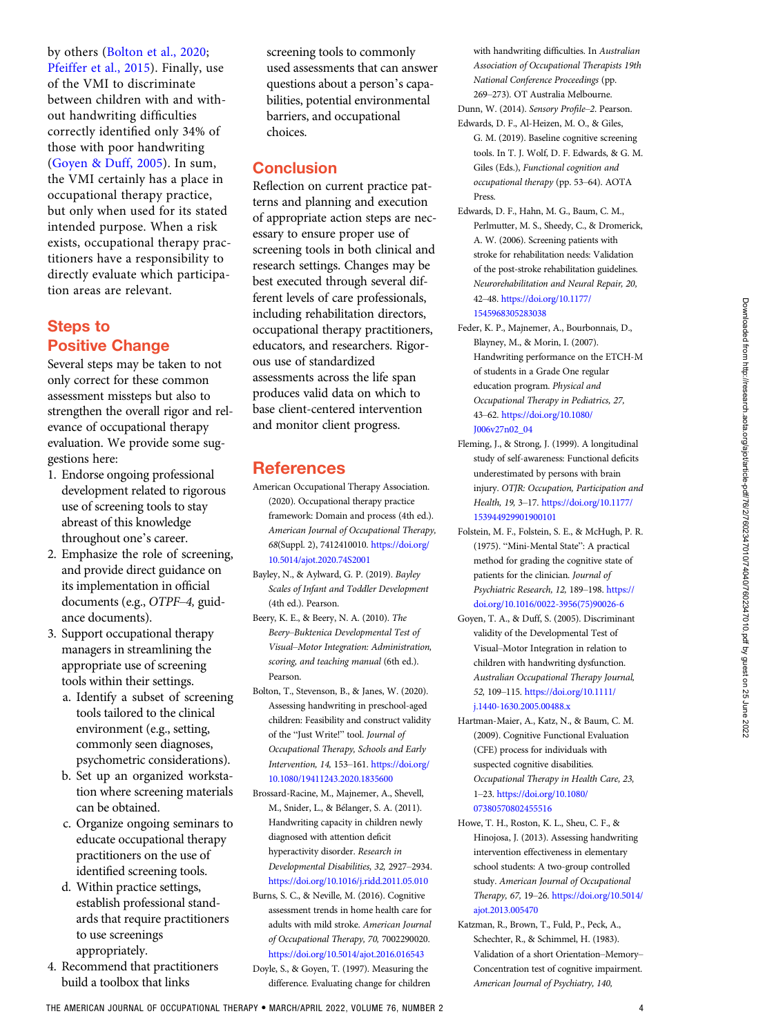<span id="page-3-0"></span>by others (Bolton et al., 2020; [Pfeiffer et al., 2015](#page-4-0)). Finally, use of the VMI to discriminate between children with and without handwriting difficulties correctly identified only 34% of those with poor handwriting (Goyen & Duff, 2005). In sum, the VMI certainly has a place in occupational therapy practice, but only when used for its stated intended purpose. When a risk exists, occupational therapy practitioners have a responsibility to directly evaluate which participation areas are relevant.

# Steps to Positive Change

Several steps may be taken to not only correct for these common assessment missteps but also to strengthen the overall rigor and relevance of occupational therapy evaluation. We provide some suggestions here:

- 1. Endorse ongoing professional development related to rigorous use of screening tools to stay abreast of this knowledge throughout one's career.
- 2. Emphasize the role of screening, and provide direct guidance on its implementation in official documents (e.g., OTPF–4, guidance documents).
- 3. Support occupational therapy managers in streamlining the appropriate use of screening tools within their settings.
	- a. Identify a subset of screening tools tailored to the clinical environment (e.g., setting, commonly seen diagnoses, psychometric considerations).
	- b. Set up an organized workstation where screening materials can be obtained.
	- c. Organize ongoing seminars to educate occupational therapy practitioners on the use of identified screening tools.
	- d. Within practice settings, establish professional standards that require practitioners to use screenings appropriately.
- 4. Recommend that practitioners build a toolbox that links

screening tools to commonly used assessments that can answer questions about a person's capabilities, potential environmental barriers, and occupational choices.

## **Conclusion**

Reflection on current practice patterns and planning and execution of appropriate action steps are necessary to ensure proper use of screening tools in both clinical and research settings. Changes may be best executed through several different levels of care professionals, including rehabilitation directors, occupational therapy practitioners, educators, and researchers. Rigorous use of standardized assessments across the life span produces valid data on which to base client-centered intervention and monitor client progress.

## References

- American Occupational Therapy Association. (2020). Occupational therapy practice framework: Domain and process (4th ed.). American Journal of Occupational Therapy, 68(Suppl. 2), 7412410010. [https://doi.org/](https://doi.org/10.5014/ajot.2020.74S2001) [10.5014/ajot.2020.74S2001](https://doi.org/10.5014/ajot.2020.74S2001)
- Bayley, N., & Aylward, G. P. (2019). Bayley Scales of Infant and Toddler Development (4th ed.). Pearson.
- Beery, K. E., & Beery, N. A. (2010). The Beery–Buktenica Developmental Test of Visual–Motor Integration: Administration, scoring, and teaching manual (6th ed.). Pearson.
- Bolton, T., Stevenson, B., & Janes, W. (2020). Assessing handwriting in preschool-aged children: Feasibility and construct validity of the "Just Write!" tool. Journal of Occupational Therapy, Schools and Early Intervention, 14, 153–161. [https://doi.org/](https://doi.org/10.1080/19411243.2020.1835600) [10.1080/19411243.2020.1835600](https://doi.org/10.1080/19411243.2020.1835600)
- Brossard-Racine, M., Majnemer, A., Shevell, M., Snider, L., & Belanger, S. A. (2011). Handwriting capacity in children newly diagnosed with attention deficit hyperactivity disorder. Research in Developmental Disabilities, 32, 2927–2934. [https://doi.org/10.1016/j.ridd.2011.05.010](http://dx.doi.org/)
- Burns, S. C., & Neville, M. (2016). Cognitive assessment trends in home health care for adults with mild stroke. American Journal of Occupational Therapy, 70, 7002290020. <https://doi.org/10.5014/ajot.2016.016543> Doyle, S., & Goyen, T. (1997). Measuring the difference. Evaluating change for children

with handwriting difficulties. In Australian Association of Occupational Therapists 19th National Conference Proceedings (pp. 269–273). OT Australia Melbourne. Dunn, W. (2014). Sensory Profile–2. Pearson.

- Edwards, D. F., Al-Heizen, M. O., & Giles, G. M. (2019). Baseline cognitive screening tools. In T. J. Wolf, D. F. Edwards, & G. M. Giles (Eds.), Functional cognition and occupational therapy (pp. 53–64). AOTA Press.
- Edwards, D. F., Hahn, M. G., Baum, C. M., Perlmutter, M. S., Sheedy, C., & Dromerick, A. W. (2006). Screening patients with stroke for rehabilitation needs: Validation of the post-stroke rehabilitation guidelines. Neurorehabilitation and Neural Repair, 20, 42–48. [https://doi.org/10.1177/](http://dx.doi.org/) [1545968305283038](http://dx.doi.org/)
- Feder, K. P., Majnemer, A., Bourbonnais, D., Blayney, M., & Morin, I. (2007). Handwriting performance on the ETCH-M of students in a Grade One regular education program. Physical and Occupational Therapy in Pediatrics, 27, 43–62. [https://doi.org/10.1080/](http://dx.doi.org/) [J006v27n02\\_04](http://dx.doi.org/)
- Fleming, J., & Strong, J. (1999). A longitudinal study of self-awareness: Functional deficits underestimated by persons with brain injury. OTJR: Occupation, Participation and Health, 19, 3–17. [https://doi.org/10.1177/](https://doi.org/10.1177/153944929901900101) [153944929901900101](https://doi.org/10.1177/153944929901900101)
- Folstein, M. F., Folstein, S. E., & McHugh, P. R. (1975). "Mini-Mental State": A practical method for grading the cognitive state of patients for the clinician. Journal of Psychiatric Research, 12, 189-198. [https://](http://dx.doi.org/) [doi.org/10.1016/0022-3956\(75\)90026-6](http://dx.doi.org/)
- Goyen, T. A., & Duff, S. (2005). Discriminant validity of the Developmental Test of Visual–Motor Integration in relation to children with handwriting dysfunction. Australian Occupational Therapy Journal, 52, 109–115. [https://doi.org/10.1111/](https://doi.org/10.1111/j.1440-1630.2005.00488.x) [j.1440-1630.2005.00488.x](https://doi.org/10.1111/j.1440-1630.2005.00488.x)
- Hartman-Maier, A., Katz, N., & Baum, C. M. (2009). Cognitive Functional Evaluation (CFE) process for individuals with suspected cognitive disabilities. Occupational Therapy in Health Care, 23, 1–23. [https://doi.org/10.1080/](https://doi.org/10.1080/07380570802455516) [07380570802455516](https://doi.org/10.1080/07380570802455516)
- Howe, T. H., Roston, K. L., Sheu, C. F., & Hinojosa, J. (2013). Assessing handwriting intervention effectiveness in elementary school students: A two-group controlled study. American Journal of Occupational Therapy, 67, 19–26. [https://doi.org/10.5014/](http://dx.doi.org/) [ajot.2013.005470](http://dx.doi.org/)
- Katzman, R., Brown, T., Fuld, P., Peck, A., Schechter, R., & Schimmel, H. (1983). Validation of a short Orientation–Memory– Concentration test of cognitive impairment. American Journal of Psychiatry, 140,